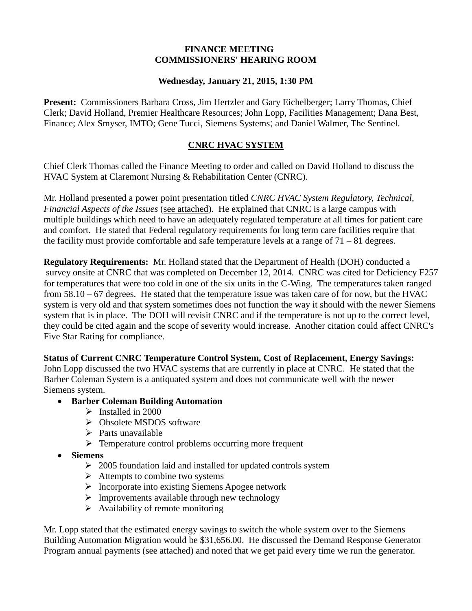## **FINANCE MEETING COMMISSIONERS' HEARING ROOM**

## **Wednesday, January 21, 2015, 1:30 PM**

**Present:** Commissioners Barbara Cross, Jim Hertzler and Gary Eichelberger; Larry Thomas, Chief Clerk; David Holland, Premier Healthcare Resources; John Lopp, Facilities Management; Dana Best, Finance; Alex Smyser, IMTO; Gene Tucci, Siemens Systems; and Daniel Walmer, The Sentinel.

## **CNRC HVAC SYSTEM**

Chief Clerk Thomas called the Finance Meeting to order and called on David Holland to discuss the HVAC System at Claremont Nursing & Rehabilitation Center (CNRC).

Mr. Holland presented a power point presentation titled *CNRC HVAC System Regulatory, Technical, Financial Aspects of the Issues* (see attached). He explained that CNRC is a large campus with multiple buildings which need to have an adequately regulated temperature at all times for patient care and comfort. He stated that Federal regulatory requirements for long term care facilities require that the facility must provide comfortable and safe temperature levels at a range of  $71 - 81$  degrees.

**Regulatory Requirements:** Mr. Holland stated that the Department of Health (DOH) conducted a survey onsite at CNRC that was completed on December 12, 2014. CNRC was cited for Deficiency F257 for temperatures that were too cold in one of the six units in the C-Wing. The temperatures taken ranged from  $58.10 - 67$  degrees. He stated that the temperature issue was taken care of for now, but the HVAC system is very old and that system sometimes does not function the way it should with the newer Siemens system that is in place. The DOH will revisit CNRC and if the temperature is not up to the correct level, they could be cited again and the scope of severity would increase. Another citation could affect CNRC's Five Star Rating for compliance.

**Status of Current CNRC Temperature Control System, Cost of Replacement, Energy Savings:**  John Lopp discussed the two HVAC systems that are currently in place at CNRC. He stated that the Barber Coleman System is a antiquated system and does not communicate well with the newer Siemens system.

## **Barber Coleman Building Automation**

- $\triangleright$  Installed in 2000
- Obsolete MSDOS software
- $\triangleright$  Parts unavailable
- $\triangleright$  Temperature control problems occurring more frequent
- **Siemens**
	- $\geq 2005$  foundation laid and installed for updated controls system
	- $\triangleright$  Attempts to combine two systems
	- $\triangleright$  Incorporate into existing Siemens Apogee network
	- $\triangleright$  Improvements available through new technology
	- $\triangleright$  Availability of remote monitoring

Mr. Lopp stated that the estimated energy savings to switch the whole system over to the Siemens Building Automation Migration would be \$31,656.00. He discussed the Demand Response Generator Program annual payments (see attached) and noted that we get paid every time we run the generator.